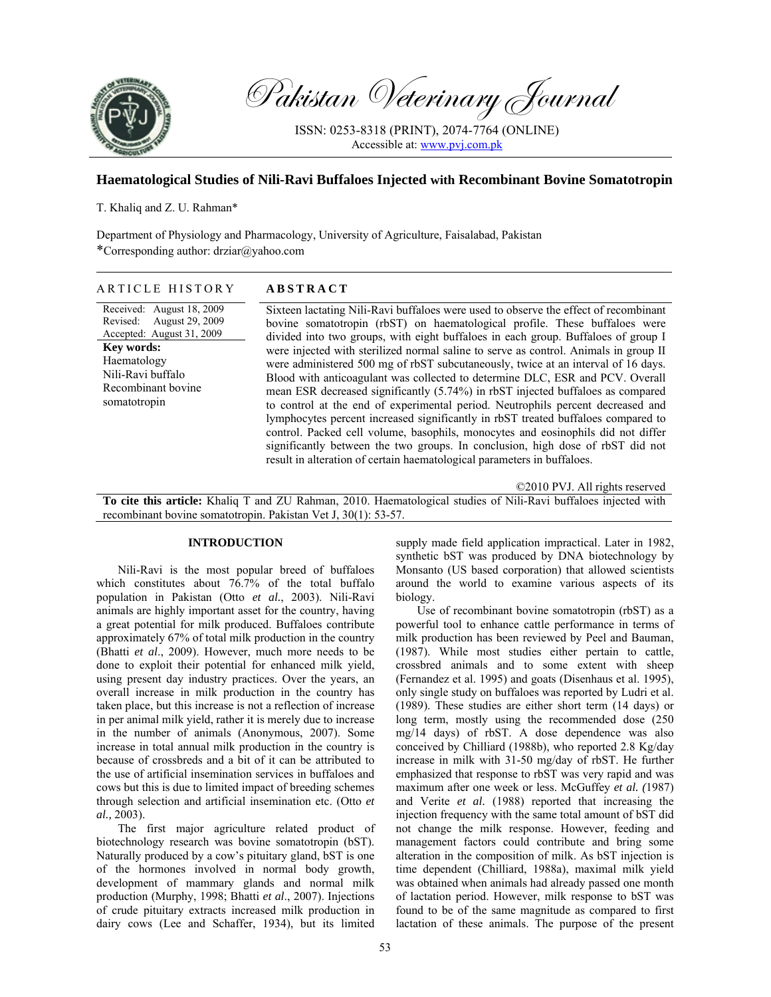

Pakistan Veterinary Journal

ISSN: 0253-8318 (PRINT), 2074-7764 (ONLINE) Accessible at: www.pvj.com.pk

# **Haematological Studies of Nili-Ravi Buffaloes Injected with Recombinant Bovine Somatotropin**

T. Khaliq and Z. U. Rahman\*

Department of Physiology and Pharmacology, University of Agriculture, Faisalabad, Pakistan \*Corresponding author: drziar@yahoo.com

# ARTICLE HISTORY **ABSTRACT**

Received: August 18, 2009 Revised: August 29, 2009 Accepted: August 31, 2009 **Key words:**  Haematology Nili-Ravi buffalo Recombinant bovine somatotropin

Sixteen lactating Nili-Ravi buffaloes were used to observe the effect of recombinant bovine somatotropin (rbST) on haematological profile. These buffaloes were divided into two groups, with eight buffaloes in each group. Buffaloes of group I were injected with sterilized normal saline to serve as control. Animals in group II were administered 500 mg of rbST subcutaneously, twice at an interval of 16 days. Blood with anticoagulant was collected to determine DLC, ESR and PCV. Overall mean ESR decreased significantly (5.74%) in rbST injected buffaloes as compared to control at the end of experimental period. Neutrophils percent decreased and lymphocytes percent increased significantly in rbST treated buffaloes compared to control. Packed cell volume, basophils, monocytes and eosinophils did not differ significantly between the two groups. In conclusion, high dose of rbST did not result in alteration of certain haematological parameters in buffaloes.

©2010 PVJ. All rights reserved

**To cite this article:** Khaliq T and ZU Rahman, 2010. Haematological studies of Nili-Ravi buffaloes injected with recombinant bovine somatotropin. Pakistan Vet J, 30(1): 53-57.

# **INTRODUCTION**

Nili-Ravi is the most popular breed of buffaloes which constitutes about 76.7% of the total buffalo population in Pakistan (Otto *et al.*, 2003). Nili-Ravi animals are highly important asset for the country, having a great potential for milk produced. Buffaloes contribute approximately 67% of total milk production in the country (Bhatti *et al*., 2009). However, much more needs to be done to exploit their potential for enhanced milk yield, using present day industry practices. Over the years, an overall increase in milk production in the country has taken place, but this increase is not a reflection of increase in per animal milk yield, rather it is merely due to increase in the number of animals (Anonymous, 2007). Some increase in total annual milk production in the country is because of crossbreds and a bit of it can be attributed to the use of artificial insemination services in buffaloes and cows but this is due to limited impact of breeding schemes through selection and artificial insemination etc. (Otto *et al.,* 2003).

The first major agriculture related product of biotechnology research was bovine somatotropin (bST). Naturally produced by a cow's pituitary gland, bST is one of the hormones involved in normal body growth, development of mammary glands and normal milk production (Murphy, 1998; Bhatti *et al*., 2007). Injections of crude pituitary extracts increased milk production in dairy cows (Lee and Schaffer, 1934), but its limited

supply made field application impractical. Later in 1982, synthetic bST was produced by DNA biotechnology by Monsanto (US based corporation) that allowed scientists around the world to examine various aspects of its biology.

Use of recombinant bovine somatotropin (rbST) as a powerful tool to enhance cattle performance in terms of milk production has been reviewed by Peel and Bauman, (1987). While most studies either pertain to cattle, crossbred animals and to some extent with sheep (Fernandez et al. 1995) and goats (Disenhaus et al. 1995), only single study on buffaloes was reported by Ludri et al. (1989). These studies are either short term (14 days) or long term, mostly using the recommended dose (250 mg/14 days) of rbST. A dose dependence was also conceived by Chilliard (1988b), who reported 2.8 Kg/day increase in milk with 31-50 mg/day of rbST. He further emphasized that response to rbST was very rapid and was maximum after one week or less. McGuffey *et al. (*1987) and Verite *et al.* (1988) reported that increasing the injection frequency with the same total amount of bST did not change the milk response. However, feeding and management factors could contribute and bring some alteration in the composition of milk. As bST injection is time dependent (Chilliard, 1988a), maximal milk yield was obtained when animals had already passed one month of lactation period. However, milk response to bST was found to be of the same magnitude as compared to first lactation of these animals. The purpose of the present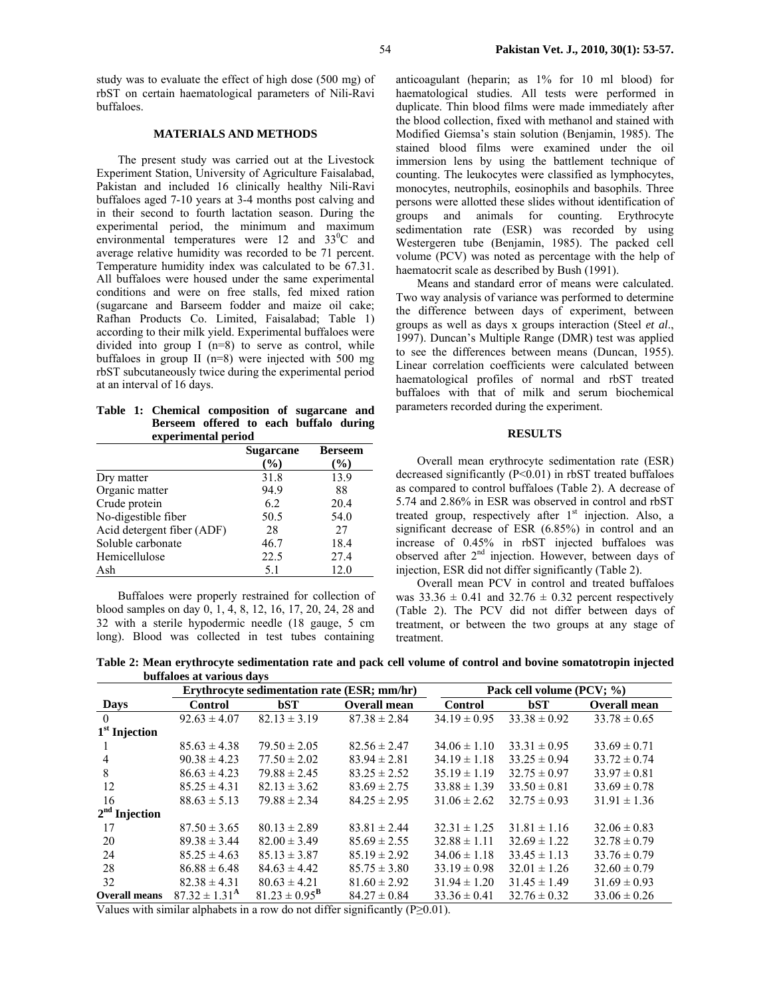study was to evaluate the effect of high dose (500 mg) of rbST on certain haematological parameters of Nili-Ravi buffaloes.

# **MATERIALS AND METHODS**

The present study was carried out at the Livestock Experiment Station, University of Agriculture Faisalabad, Pakistan and included 16 clinically healthy Nili-Ravi buffaloes aged 7-10 years at 3-4 months post calving and in their second to fourth lactation season. During the experimental period, the minimum and maximum environmental temperatures were  $12$  and  $33^{\circ}$ C and average relative humidity was recorded to be 71 percent. Temperature humidity index was calculated to be 67.31. All buffaloes were housed under the same experimental conditions and were on free stalls, fed mixed ration (sugarcane and Barseem fodder and maize oil cake; Rafhan Products Co. Limited, Faisalabad; Table 1) according to their milk yield. Experimental buffaloes were divided into group I  $(n=8)$  to serve as control, while buffaloes in group II (n=8) were injected with 500 mg rbST subcutaneously twice during the experimental period at an interval of 16 days.

|  | Table 1: Chemical composition of sugarcane and |  |  |  |
|--|------------------------------------------------|--|--|--|
|  | Berseem offered to each buffalo during         |  |  |  |
|  | experimental period                            |  |  |  |

|                            | <b>Sugarcane</b> | <b>Berseem</b> |
|----------------------------|------------------|----------------|
|                            | $($ %)           | $(\%)$         |
| Dry matter                 | 31.8             | 13.9           |
| Organic matter             | 94.9             | 88             |
| Crude protein              | 6.2              | 20.4           |
| No-digestible fiber        | 50.5             | 54.0           |
| Acid detergent fiber (ADF) | 28               | 27             |
| Soluble carbonate          | 46.7             | 18.4           |
| Hemicellulose              | 22.5             | 27.4           |
| Ash                        | 5.1              | 12.0           |

Buffaloes were properly restrained for collection of blood samples on day 0, 1, 4, 8, 12, 16, 17, 20, 24, 28 and 32 with a sterile hypodermic needle (18 gauge, 5 cm long). Blood was collected in test tubes containing

anticoagulant (heparin; as 1% for 10 ml blood) for haematological studies. All tests were performed in duplicate. Thin blood films were made immediately after the blood collection, fixed with methanol and stained with Modified Giemsa's stain solution (Benjamin, 1985). The stained blood films were examined under the oil immersion lens by using the battlement technique of counting. The leukocytes were classified as lymphocytes, monocytes, neutrophils, eosinophils and basophils. Three persons were allotted these slides without identification of groups and animals for counting. Erythrocyte sedimentation rate (ESR) was recorded by using Westergeren tube (Benjamin, 1985). The packed cell volume (PCV) was noted as percentage with the help of haematocrit scale as described by Bush (1991).

Means and standard error of means were calculated. Two way analysis of variance was performed to determine the difference between days of experiment, between groups as well as days x groups interaction (Steel *et al*., 1997). Duncan's Multiple Range (DMR) test was applied to see the differences between means (Duncan, 1955). Linear correlation coefficients were calculated between haematological profiles of normal and rbST treated buffaloes with that of milk and serum biochemical parameters recorded during the experiment.

### **RESULTS**

Overall mean erythrocyte sedimentation rate (ESR) decreased significantly (P<0.01) in rbST treated buffaloes as compared to control buffaloes (Table 2). A decrease of 5.74 and 2.86% in ESR was observed in control and rbST treated group, respectively after  $1<sup>st</sup>$  injection. Also, a significant decrease of ESR (6.85%) in control and an increase of 0.45% in rbST injected buffaloes was observed after  $2<sup>nd</sup>$  injection. However, between days of injection, ESR did not differ significantly (Table 2).

Overall mean PCV in control and treated buffaloes was  $33.36 \pm 0.41$  and  $32.76 \pm 0.32$  percent respectively (Table 2). The PCV did not differ between days of treatment, or between the two groups at any stage of treatment.

**Table 2: Mean erythrocyte sedimentation rate and pack cell volume of control and bovine somatotropin injected buffaloes at various days** 

|                      |                          |                          | Erythrocyte sedimentation rate (ESR; mm/hr) |                  | Pack cell volume (PCV; %) |                     |  |  |  |  |  |
|----------------------|--------------------------|--------------------------|---------------------------------------------|------------------|---------------------------|---------------------|--|--|--|--|--|
| <b>Days</b>          | <b>Control</b>           | bST                      | <b>Overall mean</b>                         | <b>Control</b>   | bST                       | <b>Overall mean</b> |  |  |  |  |  |
| $\overline{0}$       | $92.63 \pm 4.07$         | $82.13 \pm 3.19$         | $87.38 \pm 2.84$                            | $34.19 \pm 0.95$ | $33.38 \pm 0.92$          | $33.78 \pm 0.65$    |  |  |  |  |  |
| $1st$ Injection      |                          |                          |                                             |                  |                           |                     |  |  |  |  |  |
|                      | $85.63 \pm 4.38$         | $79.50 \pm 2.05$         | $82.56 \pm 2.47$                            | $34.06 \pm 1.10$ | $33.31 \pm 0.95$          | $33.69 \pm 0.71$    |  |  |  |  |  |
| 4                    | $90.38 \pm 4.23$         | $77.50 \pm 2.02$         | $83.94 \pm 2.81$                            | $34.19 \pm 1.18$ | $33.25 \pm 0.94$          | $33.72 \pm 0.74$    |  |  |  |  |  |
| 8                    | $86.63 \pm 4.23$         | $79.88 \pm 2.45$         | $83.25 \pm 2.52$                            | $35.19 \pm 1.19$ | $32.75 \pm 0.97$          | $33.97 \pm 0.81$    |  |  |  |  |  |
| 12                   | $85.25 \pm 4.31$         | $82.13 \pm 3.62$         | $83.69 \pm 2.75$                            | $33.88 \pm 1.39$ | $33.50 \pm 0.81$          | $33.69 \pm 0.78$    |  |  |  |  |  |
| 16                   | $88.63 \pm 5.13$         | $79.88 \pm 2.34$         | $84.25 \pm 2.95$                            | $31.06 \pm 2.62$ | $32.75 \pm 0.93$          | $31.91 \pm 1.36$    |  |  |  |  |  |
| $2nd$ Injection      |                          |                          |                                             |                  |                           |                     |  |  |  |  |  |
| 17                   | $87.50 \pm 3.65$         | $80.13 \pm 2.89$         | $83.81 \pm 2.44$                            | $32.31 \pm 1.25$ | $31.81 \pm 1.16$          | $32.06 \pm 0.83$    |  |  |  |  |  |
| 20                   | $89.38 \pm 3.44$         | $82.00 \pm 3.49$         | $85.69 \pm 2.55$                            | $32.88 \pm 1.11$ | $32.69 \pm 1.22$          | $32.78 \pm 0.79$    |  |  |  |  |  |
| 24                   | $85.25 \pm 4.63$         | $85.13 \pm 3.87$         | $85.19 \pm 2.92$                            | $34.06 \pm 1.18$ | $33.45 \pm 1.13$          | $33.76 \pm 0.79$    |  |  |  |  |  |
| 28                   | $86.88 \pm 6.48$         | $84.63 \pm 4.42$         | $85.75 \pm 3.80$                            | $33.19 \pm 0.98$ | $32.01 \pm 1.26$          | $32.60 \pm 0.79$    |  |  |  |  |  |
| 32                   | $82.38 \pm 4.31$         | $80.63 \pm 4.21$         | $81.60 \pm 2.92$                            | $31.94 \pm 1.20$ | $31.45 \pm 1.49$          | $31.69 \pm 0.93$    |  |  |  |  |  |
| <b>Overall means</b> | $87.32 \pm 1.31^{\rm A}$ | $81.23 \pm 0.95^{\rm B}$ | $84.27 \pm 0.84$                            | $33.36 \pm 0.41$ | $32.76 \pm 0.32$          | $33.06 \pm 0.26$    |  |  |  |  |  |

Values with similar alphabets in a row do not differ significantly ( $P \ge 0.01$ ).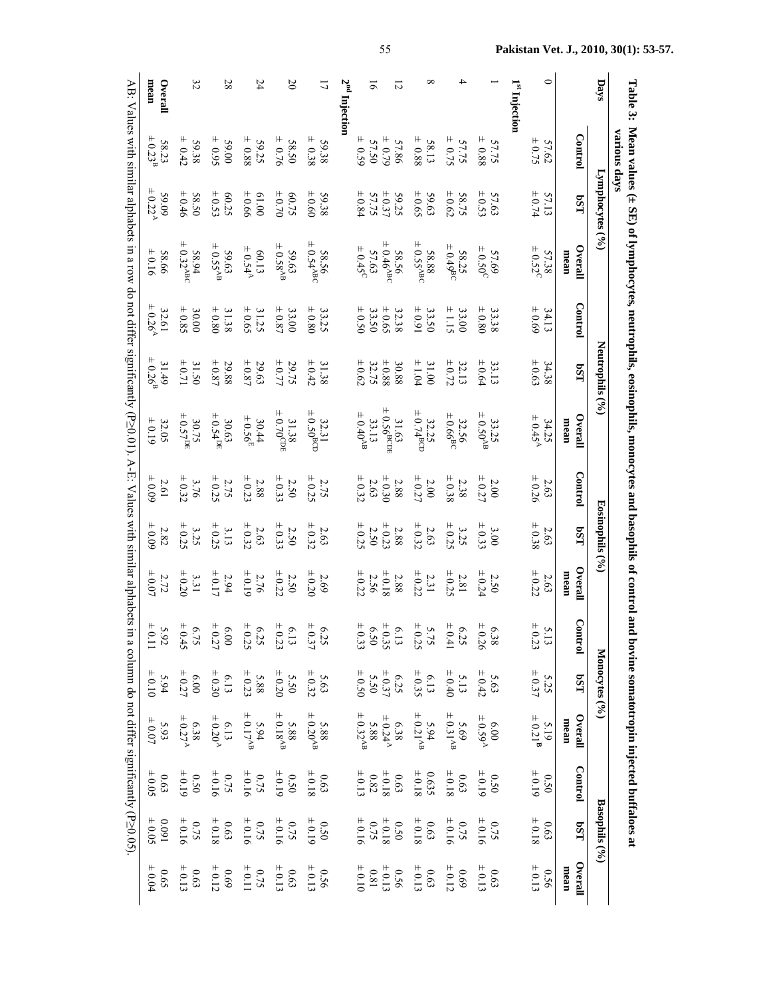|                                                                                                                                                    | mean<br>Overall                               | 32                                            | 28                                                    | 24                                       | $\infty$                                                             | こ                                    | շո<br>2<br>Inject | ಸ                                                                   | Ń                                |                                                        |                                                         |                                                                    | Injection | 0                                             |                 | Days                          | Table 3:                                                                                                |
|----------------------------------------------------------------------------------------------------------------------------------------------------|-----------------------------------------------|-----------------------------------------------|-------------------------------------------------------|------------------------------------------|----------------------------------------------------------------------|--------------------------------------|-------------------|---------------------------------------------------------------------|----------------------------------|--------------------------------------------------------|---------------------------------------------------------|--------------------------------------------------------------------|-----------|-----------------------------------------------|-----------------|-------------------------------|---------------------------------------------------------------------------------------------------------|
| AB: Values with similar alphabets                                                                                                                  | $58.23$<br>$\pm 0.23^B$                       | $59.38$ $\pm$                                 | $\pm 0.95$<br>59.00                                   | $\pm 0.88$<br>59.25                      | $\pm$ 0.76<br>58.50                                                  | $\pm 0.38$<br>59.38                  |                   | $= 0.55$<br>57.50                                                   | $62.0 +$<br>57.86                | $\begin{array}{c} 58.13 \\ 2.88 \end{array}$           | $57.75$<br>$\pm 0.75$                                   | $57.75$<br>$\pm 0.88$                                              |           | $57.62$<br>$\pm 0.75$                         | <b>Control</b>  |                               | <b>Narious days</b>                                                                                     |
|                                                                                                                                                    | $\pm 0.22'$<br>60.65                          | $58.50$<br>$\pm 0.46$                         | $60.25$<br>$\pm 0.53$                                 | $+0.66$<br>00'19                         | $60.75$<br>± 0.70                                                    | $+0.60$<br>59.38                     |                   | $59.25$<br>$57.75$<br>$57.75$                                       |                                  | $59.63$<br>± 0.65                                      | $58.75$<br>$\pm 0.62$                                   | $57.63$<br>$\pm 0.53$                                              |           | $57.13$<br>$\pm 0.74$                         | LSq             | Lymphocytes (° <sub>0</sub> ) |                                                                                                         |
|                                                                                                                                                    | $+0.16$<br>58.66                              | $58.94$<br>= 0.32 <sup>ABC</sup>              | $59.63$<br>$\pm 0.55^{\rm AB}$                        | $60.13$<br>$\pm 0.54^{\rm A}$            | $59.63$<br>$\pm 0.58^{\text{AB}}$                                    | $58.56$<br>= 0.54 <sup>AB(</sup>     |                   | $57.63$<br>$\pm 0.45$ <sup>C</sup>                                  | $58.56$<br>= 0.46 <sup>ABC</sup> | $58.88$<br>= $0.55ABC$                                 | $58.25$<br>$\pm 0.49$ <sup>BC</sup>                     | $57.69$<br>± 0.50 <sup>C</sup>                                     |           | $57.38$<br>$\pm 0.52^c$                       | Overall<br>mean |                               |                                                                                                         |
|                                                                                                                                                    | $\pm 0.26^{\rm A}$<br>32.61                   | $30.00$<br>$\pm 0.85$                         | $31.38$<br>$\pm 0.80$                                 | $31.25$<br>$\pm 0.65$                    | $33.00$<br>$\pm 0.87$                                                | $\pm 0.80$<br>33.25                  |                   | $33.50$<br>$\pm 0.50$                                               | $32.38$<br>$\pm 0.65$            | $33.50$<br>$\pm 0.91$                                  | $\pm 1.15$<br>33.00                                     | $33.38$<br>$\pm 0.80$                                              |           | $34.13$<br>$\pm 0.69$                         | <b>Contro</b>   |                               |                                                                                                         |
|                                                                                                                                                    | $\pm 0.26$ <sup>E</sup><br>31.49              | $31.50$<br>$\pm 0.71$                         | $29.88$<br>$\pm 0.87$                                 | $29.63$<br>$\pm$ 0.87                    | $29.75$<br>$\pm 0.77$                                                | $\pm 0.42$<br>31.38                  |                   | $\begin{array}{c}\n+ 0.88 \\ 32.75\n\end{array}$                    | 30.88                            | $31.00$<br>$\pm 1.04$                                  | $32.13$ $\pm 0.72$                                      | $33.13$<br>$\pm 0.64$                                              |           | $34.38$<br>$\pm 0.63$                         | LSq             | Neutrophils $(°_0)$           |                                                                                                         |
| in a row do not differ significantly ( $P \ge 0.01$ ). A-E: Values with similar alphabets in a column do not differ significantly ( $P \ge 0.05$ ) | $32.05$<br>$\pm 0.19$                         | $30.75$<br>$\pm 0.57^{DH}$                    | $30.63$<br>$\pm 0.54^{DR}$                            | $30.44$<br>$\pm 0.56^{\rm E}$            | $31.38$<br>$\pm 0.70^{\text{CDE}}$                                   | $32.31$<br>$\pm 0.50$ <sup>BCD</sup> |                   | $33.13$<br>$\pm 0.40^{\text{AB}}$                                   | $31.63$<br>$51.63$               | $32.25$<br>$\pm 0.74$ <sup>BCD</sup>                   | $32.56$<br>$\pm 0.66$ <sup>BC</sup>                     | $33.25$<br>$\pm 0.50^{\text{AB}}$                                  |           | $34.25$<br>$\pm 0.45^{\rm A}$                 | Overall<br>mean |                               | Mean values $(\pm 8E)$ of lymphocytes, neutrophils, eosinophils, monocytes and basophils of control and |
|                                                                                                                                                    | 60.09<br>2.61                                 | $3.76$<br>$\pm 0.32$                          | $2.75$<br>$\pm 0.25$                                  | $2.88 \pm 0.23$                          | $2.50$<br>$\pm 0.33$                                                 | $2.75$<br>$\pm 0.25$                 |                   | $+0.30$<br>$2.63$<br>$+0.32$                                        | $2.88\,$                         | $2.00$<br>$\pm 0.27$                                   | $\pm 0.38$<br>2.38                                      | $2.00$<br>$\pm 0.27$                                               |           | $2.63$<br>$\pm 0.26$                          | Control         |                               |                                                                                                         |
|                                                                                                                                                    | $+0.09$<br>$2.82\,$                           | $3.25$<br>$\pm 0.25$                          | $3.13$<br>$\pm 0.25$                                  | $\pm 0.32$<br>$2.63\,$                   | $\pm 0.33$<br>2.50                                                   | $\pm 0.32$<br>2.63                   |                   | $+0.23$<br>2.50<br>$+0.25$                                          | $2.88\,$                         | $2.63$<br>$\pm$ 0.32                                   | $3.25$<br>$\pm 0.25$                                    | $3.00$<br>$\pm 0.33$                                               |           | $\pm 0.38$<br>2.63                            | LSq             | Eosinophils (%                |                                                                                                         |
|                                                                                                                                                    | $2.72 \pm 0.07$                               | $3.31$<br>$\pm 0.20$                          | $2.94$<br>$\pm 0.17$                                  | $2.76$<br>± 0.19                         | $\pm 0.22$<br>2.50                                                   | $\pm 0.20$<br>2.69                   |                   | $\begin{array}{c} 2.88 \\ 2.56 \\ 2.56 \\ + 0.22 \end{array}$       |                                  | $2.31$<br>$\pm$ 0.22                                   | $\pm 0.25$<br>$2.81\,$                                  | $2.50$<br>$\pm 0.24$                                               |           | $\pm 0.22$<br>2.63                            | Overal<br>mean  |                               |                                                                                                         |
|                                                                                                                                                    | $5.92$<br>$\pm 0.11$                          | $6.75$<br>$\pm 0.45$                          | $6.00$<br>$\pm 0.27$                                  | $6.13$<br>$6.25$<br>$6.25$<br>$\pm 0.25$ |                                                                      | $6.25$<br>$\pm 0.37$                 |                   |                                                                     |                                  | $5.75$<br>$+ 0.25$<br>$+ 0.35$<br>$+ 0.35$<br>$+ 0.33$ | $6.25$<br>$\pm 0.41$                                    | $6.38$<br>$\pm 0.26$                                               |           | $5.13$<br>$\pm 0.23$                          | ဌ<br><b>FL0</b> |                               |                                                                                                         |
|                                                                                                                                                    | $5.94$<br>$\pm 0.10$                          | $6.00$<br>$\pm 0.27$                          | $6.13$<br>$\pm 0.30$                                  | $5.88$<br>$\pm 0.23$                     | $5.63$<br>$5.50$<br>$5.50$                                           |                                      |                   | $6.25$<br>$5.50$<br>$5.50$<br>$\pm 0.50$                            |                                  | $6.13$ $\pm$                                           | $5.13$<br>$\pm 0.40$                                    | $5.63$<br>$\pm 0.42$                                               |           | $5.25$<br>$\pm 0.37$                          | LSq             | Monocytes (%)                 |                                                                                                         |
|                                                                                                                                                    | $5.93$<br>$\pm 0.07$                          | $6.38$<br>$\pm 0.27^{\rm A}$                  | $6.13$<br>$\pm 0.20^{\rm A}$                          | $5.94$<br>$\pm 0.17^{AB}$                | $5.88$<br>$\pm 0.20^{\text{AF}}$<br>$5.88$<br>$\pm 0.18^{\text{AF}}$ |                                      |                   | $6.38$<br>$\pm 0.24^{\text{A}}$<br>$5.88$<br>$\pm 0.32^{\text{AB}}$ |                                  | $5.94$<br>$\pm 0.21^{AB}$                              |                                                         | $6.00$<br>$\pm 0.59^{\text{A}}$<br>$5.69$<br>$\pm 0.31^{\text{A}}$ |           | $5.19$<br>$\pm 0.21^{\rm B}$                  | Overall<br>mean |                               | bovine somatotropin injected buffaloes at                                                               |
|                                                                                                                                                    | $\begin{array}{c} 0.63 \\ + 0.05 \end{array}$ | $0.50$<br>$\pm 0.19$                          | $0.75$<br>$+ 0.16$<br>$0.75$<br>$+ 0.16$              |                                          | $\begin{array}{c} 0.63 \\ + 0.18 \\ 0.50 \\ + 0.19 \end{array}$      |                                      |                   | $\begin{array}{c} 0.63 \\ + 0.18 \\ 0.82 \\ + 0.13 \end{array}$     |                                  | $0.635$<br>± 0.18                                      | $\begin{array}{c} 0.50 \\ + 0.19 \\ + 0.63 \end{array}$ |                                                                    |           | $0.50$<br>$\pm 0.19$                          | <b>Control</b>  |                               |                                                                                                         |
|                                                                                                                                                    | $0.091$<br>± 0.05                             | $0.75$<br>± 0.16                              |                                                       | $0.75$<br>$+ 0.16$<br>$0.63$<br>$+ 0.18$ | $\begin{array}{c} 0.50 \\ + 0.19 \\ + 0.75 \end{array}$              |                                      |                   | $\begin{array}{c} 0.50 \\ + 0.18 \\ 0.75 \end{array}$               |                                  | $\begin{array}{c} 0.63 \\ + 0.18 \end{array}$          | $0.75$<br>$+ 0.16$<br>$+ 0.75$<br>$+ 0.16$              |                                                                    |           | $\begin{array}{c} 0.63 \\ + 0.18 \end{array}$ | LSq             | Basophils $(°0)$              |                                                                                                         |
|                                                                                                                                                    | 0.65<br>$-0.04$                               | $\begin{array}{c} 0.63 \\ + 0.13 \end{array}$ | $\begin{array}{c} 0.75 \\ + 0.11 \\ 0.69 \end{array}$ |                                          | $0.63$<br>$\pm$                                                      | $0.56$<br>± 0.12                     |                   | $\begin{array}{c} 0.56 \\ + 0.13 \\ - 0.81 \end{array}$             |                                  | $\begin{array}{c} 0.63 \\ + 0.13 \end{array}$          | $0.63$<br>$+ 0.12$<br>$+ 0.12$<br>$+ 0.12$              |                                                                    |           | $0.56$<br>$\pm 0.13$                          | Overall<br>mean |                               |                                                                                                         |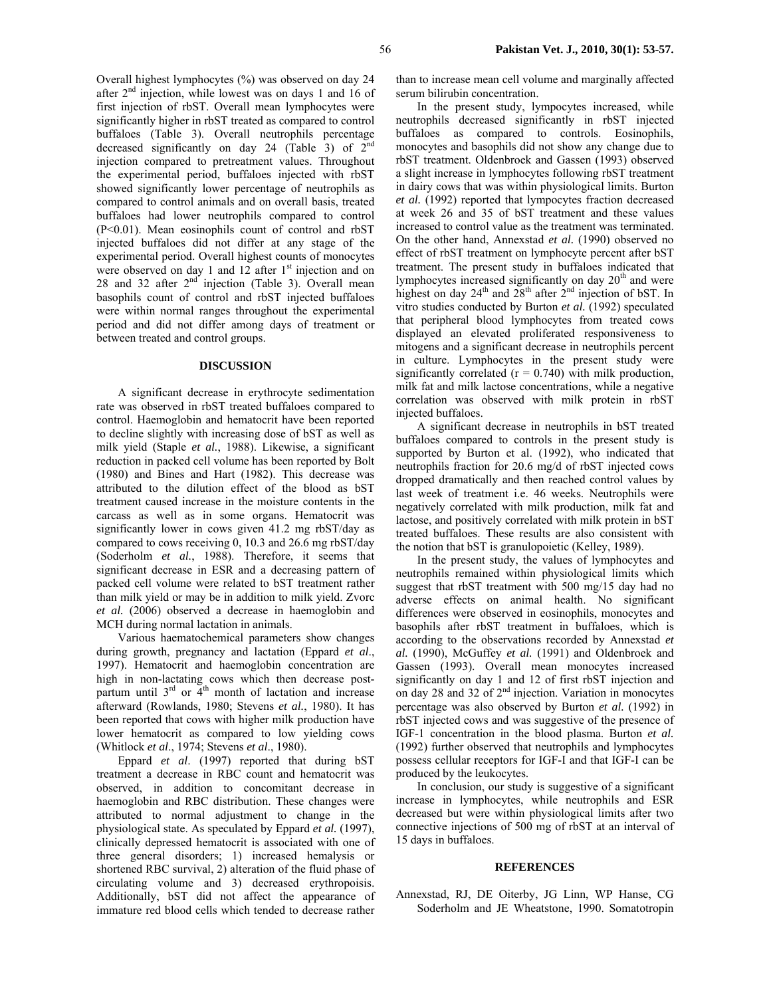Overall highest lymphocytes (%) was observed on day 24 after  $2<sup>nd</sup>$  injection, while lowest was on days 1 and 16 of first injection of rbST. Overall mean lymphocytes were significantly higher in rbST treated as compared to control buffaloes (Table 3). Overall neutrophils percentage decreased significantly on day 24 (Table 3) of 2<sup>nd</sup> injection compared to pretreatment values. Throughout the experimental period, buffaloes injected with rbST showed significantly lower percentage of neutrophils as compared to control animals and on overall basis, treated buffaloes had lower neutrophils compared to control  $(P<0.01)$ . Mean eosinophils count of control and rbST injected buffaloes did not differ at any stage of the experimental period. Overall highest counts of monocytes were observed on day 1 and 12 after 1<sup>st</sup> injection and on 28 and 32 after  $2<sup>nd</sup>$  injection (Table 3). Overall mean basophils count of control and rbST injected buffaloes were within normal ranges throughout the experimental period and did not differ among days of treatment or between treated and control groups.

#### **DISCUSSION**

A significant decrease in erythrocyte sedimentation rate was observed in rbST treated buffaloes compared to control. Haemoglobin and hematocrit have been reported to decline slightly with increasing dose of bST as well as milk yield (Staple *et al.*, 1988). Likewise, a significant reduction in packed cell volume has been reported by Bolt (1980) and Bines and Hart (1982). This decrease was attributed to the dilution effect of the blood as bST treatment caused increase in the moisture contents in the carcass as well as in some organs. Hematocrit was significantly lower in cows given 41.2 mg rbST/day as compared to cows receiving 0, 10.3 and 26.6 mg rbST/day (Soderholm *et al.*, 1988). Therefore, it seems that significant decrease in ESR and a decreasing pattern of packed cell volume were related to bST treatment rather than milk yield or may be in addition to milk yield. Zvorc *et al.* (2006) observed a decrease in haemoglobin and MCH during normal lactation in animals.

Various haematochemical parameters show changes during growth, pregnancy and lactation (Eppard *et al*., 1997). Hematocrit and haemoglobin concentration are high in non-lactating cows which then decrease postpartum until  $3<sup>rd</sup>$  or  $4<sup>th</sup>$  month of lactation and increase afterward (Rowlands, 1980; Stevens *et al.*, 1980). It has been reported that cows with higher milk production have lower hematocrit as compared to low yielding cows (Whitlock *et al*., 1974; Stevens *et al*., 1980).

Eppard *et al*. (1997) reported that during bST treatment a decrease in RBC count and hematocrit was observed, in addition to concomitant decrease in haemoglobin and RBC distribution. These changes were attributed to normal adjustment to change in the physiological state. As speculated by Eppard *et al.* (1997), clinically depressed hematocrit is associated with one of three general disorders; 1) increased hemalysis or shortened RBC survival, 2) alteration of the fluid phase of circulating volume and 3) decreased erythropoisis. Additionally, bST did not affect the appearance of immature red blood cells which tended to decrease rather than to increase mean cell volume and marginally affected serum bilirubin concentration.

In the present study, lympocytes increased, while neutrophils decreased significantly in rbST injected buffaloes as compared to controls. Eosinophils, monocytes and basophils did not show any change due to rbST treatment. Oldenbroek and Gassen (1993) observed a slight increase in lymphocytes following rbST treatment in dairy cows that was within physiological limits. Burton *et al.* (1992) reported that lympocytes fraction decreased at week 26 and 35 of bST treatment and these values increased to control value as the treatment was terminated. On the other hand, Annexstad *et al.* (1990) observed no effect of rbST treatment on lymphocyte percent after bST treatment. The present study in buffaloes indicated that lymphocytes increased significantly on day 20<sup>th</sup> and were highest on day  $24<sup>th</sup>$  and  $28<sup>th</sup>$  after  $2<sup>nd</sup>$  injection of bST. In vitro studies conducted by Burton *et al.* (1992) speculated that peripheral blood lymphocytes from treated cows displayed an elevated proliferated responsiveness to mitogens and a significant decrease in neutrophils percent in culture. Lymphocytes in the present study were significantly correlated  $(r = 0.740)$  with milk production, milk fat and milk lactose concentrations, while a negative correlation was observed with milk protein in rbST injected buffaloes.

A significant decrease in neutrophils in bST treated buffaloes compared to controls in the present study is supported by Burton et al. (1992), who indicated that neutrophils fraction for 20.6 mg/d of rbST injected cows dropped dramatically and then reached control values by last week of treatment i.e. 46 weeks. Neutrophils were negatively correlated with milk production, milk fat and lactose, and positively correlated with milk protein in bST treated buffaloes. These results are also consistent with the notion that bST is granulopoietic (Kelley, 1989).

In the present study, the values of lymphocytes and neutrophils remained within physiological limits which suggest that rbST treatment with 500 mg/15 day had no adverse effects on animal health. No significant differences were observed in eosinophils, monocytes and basophils after rbST treatment in buffaloes, which is according to the observations recorded by Annexstad *et al.* (1990), McGuffey *et al.* (1991) and Oldenbroek and Gassen (1993). Overall mean monocytes increased significantly on day 1 and 12 of first rbST injection and on day 28 and 32 of 2nd injection. Variation in monocytes percentage was also observed by Burton *et al.* (1992) in rbST injected cows and was suggestive of the presence of IGF-1 concentration in the blood plasma. Burton *et al.* (1992) further observed that neutrophils and lymphocytes possess cellular receptors for IGF-I and that IGF-I can be produced by the leukocytes.

In conclusion, our study is suggestive of a significant increase in lymphocytes, while neutrophils and ESR decreased but were within physiological limits after two connective injections of 500 mg of rbST at an interval of 15 days in buffaloes.

#### **REFERENCES**

Annexstad, RJ, DE Oiterby, JG Linn, WP Hanse, CG Soderholm and JE Wheatstone, 1990. Somatotropin